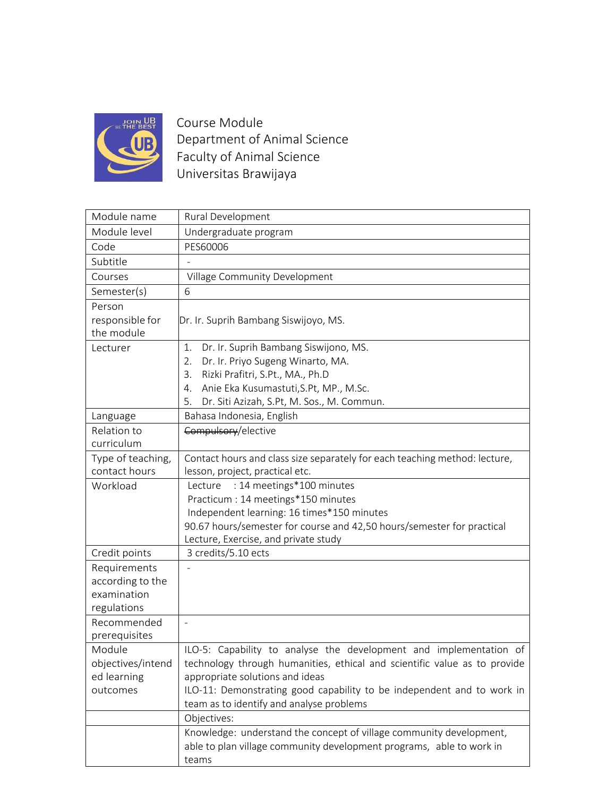

Course Module Department of Animal Science Faculty of Animal Science Universitas Brawijaya

| Module name                     | Rural Development                                                                                            |  |  |  |
|---------------------------------|--------------------------------------------------------------------------------------------------------------|--|--|--|
| Module level                    | Undergraduate program                                                                                        |  |  |  |
| Code                            | PES60006                                                                                                     |  |  |  |
| Subtitle                        |                                                                                                              |  |  |  |
| Courses                         | Village Community Development                                                                                |  |  |  |
| Semester(s)                     | 6                                                                                                            |  |  |  |
| Person                          |                                                                                                              |  |  |  |
| responsible for                 | Dr. Ir. Suprih Bambang Siswijoyo, MS.                                                                        |  |  |  |
| the module                      |                                                                                                              |  |  |  |
| Lecturer                        | Dr. Ir. Suprih Bambang Siswijono, MS.<br>1.                                                                  |  |  |  |
|                                 | Dr. Ir. Priyo Sugeng Winarto, MA.<br>2.                                                                      |  |  |  |
|                                 | Rizki Prafitri, S.Pt., MA., Ph.D<br>3.                                                                       |  |  |  |
|                                 | Anie Eka Kusumastuti, S.Pt, MP., M.Sc.<br>4.                                                                 |  |  |  |
|                                 | Dr. Siti Azizah, S.Pt, M. Sos., M. Commun.<br>5.                                                             |  |  |  |
| Language                        | Bahasa Indonesia, English                                                                                    |  |  |  |
| Relation to                     | Compulsory/elective                                                                                          |  |  |  |
| curriculum                      |                                                                                                              |  |  |  |
| Type of teaching,               | Contact hours and class size separately for each teaching method: lecture,                                   |  |  |  |
| contact hours                   | lesson, project, practical etc.                                                                              |  |  |  |
| Workload                        | : 14 meetings*100 minutes<br>Lecture                                                                         |  |  |  |
|                                 | Practicum: 14 meetings*150 minutes                                                                           |  |  |  |
|                                 | Independent learning: 16 times*150 minutes                                                                   |  |  |  |
|                                 | 90.67 hours/semester for course and 42,50 hours/semester for practical                                       |  |  |  |
|                                 | Lecture, Exercise, and private study                                                                         |  |  |  |
| Credit points                   | 3 credits/5.10 ects                                                                                          |  |  |  |
| Requirements                    |                                                                                                              |  |  |  |
| according to the<br>examination |                                                                                                              |  |  |  |
| regulations                     |                                                                                                              |  |  |  |
| Recommended                     |                                                                                                              |  |  |  |
| prerequisites                   |                                                                                                              |  |  |  |
| Module                          |                                                                                                              |  |  |  |
| objectives/intend               | ILO-5: Capability to analyse the development and implementation of                                           |  |  |  |
| ed learning                     | technology through humanities, ethical and scientific value as to provide<br>appropriate solutions and ideas |  |  |  |
| outcomes                        | ILO-11: Demonstrating good capability to be independent and to work in                                       |  |  |  |
|                                 | team as to identify and analyse problems                                                                     |  |  |  |
|                                 | Objectives:                                                                                                  |  |  |  |
|                                 | Knowledge: understand the concept of village community development,                                          |  |  |  |
|                                 | able to plan village community development programs, able to work in                                         |  |  |  |
|                                 | teams                                                                                                        |  |  |  |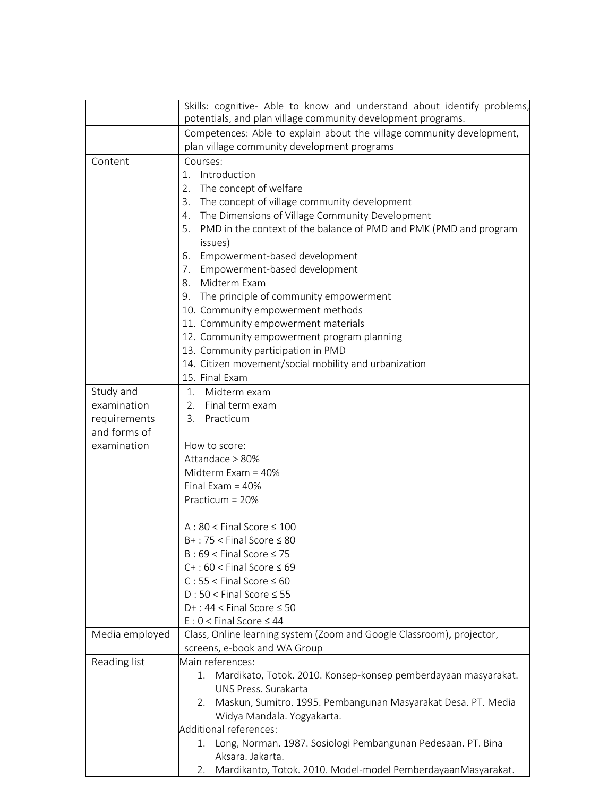|                | Skills: cognitive- Able to know and understand about identify problems,                                     |  |  |  |
|----------------|-------------------------------------------------------------------------------------------------------------|--|--|--|
|                | potentials, and plan village community development programs.                                                |  |  |  |
|                | Competences: Able to explain about the village community development,                                       |  |  |  |
|                | plan village community development programs                                                                 |  |  |  |
| Content        | Courses:                                                                                                    |  |  |  |
|                | Introduction<br>$1_{-}$                                                                                     |  |  |  |
|                | 2.<br>The concept of welfare                                                                                |  |  |  |
|                | The concept of village community development<br>3.<br>The Dimensions of Village Community Development<br>4. |  |  |  |
|                |                                                                                                             |  |  |  |
|                | PMD in the context of the balance of PMD and PMK (PMD and program<br>5.                                     |  |  |  |
|                | issues)                                                                                                     |  |  |  |
|                | Empowerment-based development<br>6.                                                                         |  |  |  |
|                | 7. Empowerment-based development                                                                            |  |  |  |
|                | Midterm Exam<br>8.                                                                                          |  |  |  |
|                | 9. The principle of community empowerment                                                                   |  |  |  |
|                | 10. Community empowerment methods                                                                           |  |  |  |
|                | 11. Community empowerment materials                                                                         |  |  |  |
|                | 12. Community empowerment program planning                                                                  |  |  |  |
|                | 13. Community participation in PMD                                                                          |  |  |  |
|                | 14. Citizen movement/social mobility and urbanization                                                       |  |  |  |
|                | 15. Final Exam                                                                                              |  |  |  |
| Study and      | 1.<br>Midterm exam                                                                                          |  |  |  |
| examination    | Final term exam<br>2.                                                                                       |  |  |  |
| requirements   | 3. Practicum                                                                                                |  |  |  |
| and forms of   |                                                                                                             |  |  |  |
| examination    | How to score:                                                                                               |  |  |  |
|                | Attandace > 80%                                                                                             |  |  |  |
|                | Midterm Exam = $40\%$                                                                                       |  |  |  |
|                | Final Exam = $40\%$<br>Practicum = 20%                                                                      |  |  |  |
|                |                                                                                                             |  |  |  |
|                |                                                                                                             |  |  |  |
|                | $A:80 <$ Final Score $\leq 100$                                                                             |  |  |  |
|                | $B+$ : 75 < Final Score $\leq 80$                                                                           |  |  |  |
|                | $B: 69 <$ Final Score $\leq 75$                                                                             |  |  |  |
|                | $C+$ : 60 < Final Score $\leq 69$                                                                           |  |  |  |
|                | $C: 55 <$ Final Score $\leq 60$                                                                             |  |  |  |
|                | $D:50 <$ Final Score $\leq 55$                                                                              |  |  |  |
|                | $D+$ : 44 < Final Score $\leq$ 50                                                                           |  |  |  |
|                | $E: 0 <$ Final Score $\leq 44$                                                                              |  |  |  |
| Media employed | Class, Online learning system (Zoom and Google Classroom), projector,                                       |  |  |  |
|                | screens, e-book and WA Group                                                                                |  |  |  |
| Reading list   | Main references:                                                                                            |  |  |  |
|                | 1. Mardikato, Totok. 2010. Konsep-konsep pemberdayaan masyarakat.                                           |  |  |  |
|                | UNS Press. Surakarta                                                                                        |  |  |  |
|                | Maskun, Sumitro. 1995. Pembangunan Masyarakat Desa. PT. Media<br>2.                                         |  |  |  |
|                | Widya Mandala. Yogyakarta.                                                                                  |  |  |  |
|                | Additional references:                                                                                      |  |  |  |
|                | 1. Long, Norman. 1987. Sosiologi Pembangunan Pedesaan. PT. Bina                                             |  |  |  |
|                | Aksara, Jakarta.                                                                                            |  |  |  |
|                | Mardikanto, Totok. 2010. Model-model PemberdayaanMasyarakat.<br>2.                                          |  |  |  |